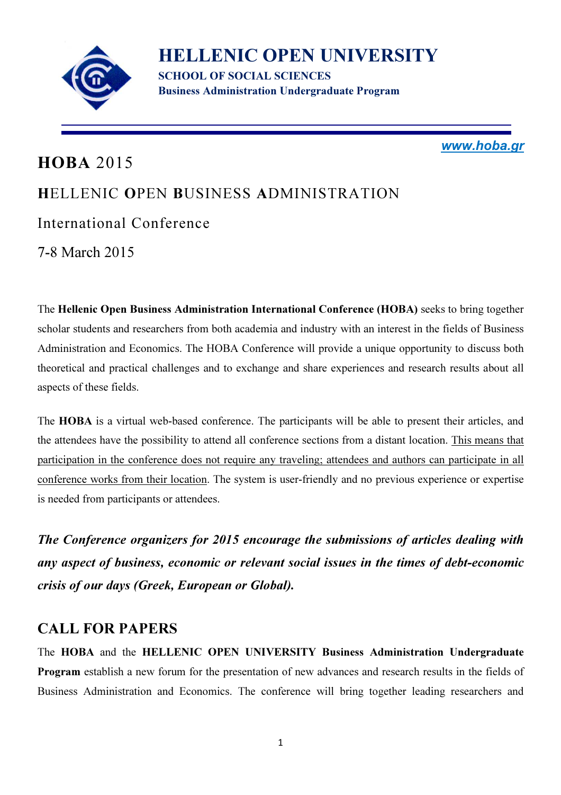

HELLENIC OPEN UNIVERSITY SCHOOL OF SOCIAL SCIENCES Business Administration Undergraduate Program

www.hoba.gr

# HOBA 2015 HELLENIC OPEN BUSINESS ADMINISTRATION International Conference 7-8 March 2015

The Hellenic Open Business Administration International Conference (HOBA) seeks to bring together scholar students and researchers from both academia and industry with an interest in the fields of Business Administration and Economics. The HOBA Conference will provide a unique opportunity to discuss both theoretical and practical challenges and to exchange and share experiences and research results about all aspects of these fields.

The HOBA is a virtual web-based conference. The participants will be able to present their articles, and the attendees have the possibility to attend all conference sections from a distant location. This means that participation in the conference does not require any traveling; attendees and authors can participate in all conference works from their location. The system is user-friendly and no previous experience or expertise is needed from participants or attendees.

The Conference organizers for 2015 encourage the submissions of articles dealing with any aspect of business, economic or relevant social issues in the times of debt-economic crisis of our days (Greek, European or Global).

#### CALL FOR PAPERS

The HOBA and the HELLENIC OPEN UNIVERSITY Business Administration Undergraduate Program establish a new forum for the presentation of new advances and research results in the fields of Business Administration and Economics. The conference will bring together leading researchers and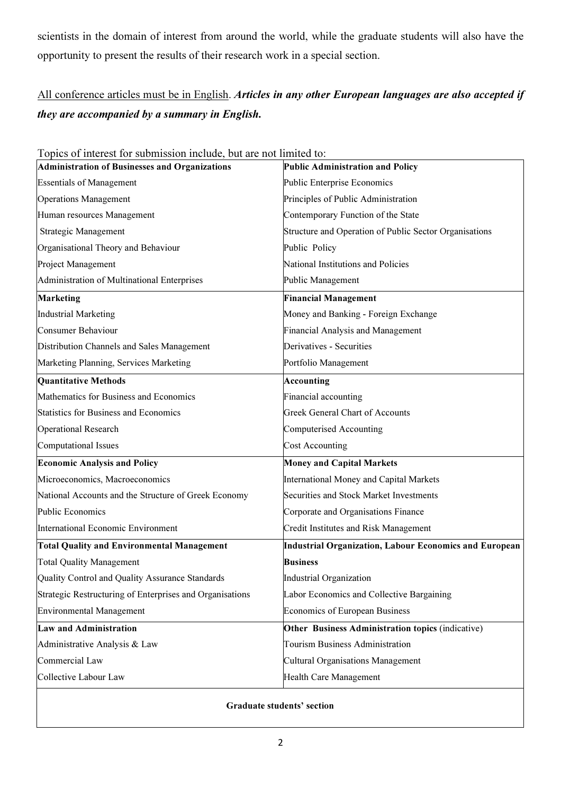scientists in the domain of interest from around the world, while the graduate students will also have the opportunity to present the results of their research work in a special section.

#### All conference articles must be in English. Articles in any other European languages are also accepted if they are accompanied by a summary in English.

| Topics of interest for submission include, but are not limited to: |                                                               |  |  |
|--------------------------------------------------------------------|---------------------------------------------------------------|--|--|
| <b>Administration of Businesses and Organizations</b>              | <b>Public Administration and Policy</b>                       |  |  |
| <b>Essentials of Management</b>                                    | Public Enterprise Economics                                   |  |  |
| <b>Operations Management</b>                                       | Principles of Public Administration                           |  |  |
| Human resources Management                                         | Contemporary Function of the State                            |  |  |
| <b>Strategic Management</b>                                        | Structure and Operation of Public Sector Organisations        |  |  |
| Organisational Theory and Behaviour                                | Public Policy                                                 |  |  |
| Project Management                                                 | National Institutions and Policies                            |  |  |
| Administration of Multinational Enterprises                        | Public Management                                             |  |  |
| <b>Marketing</b>                                                   | <b>Financial Management</b>                                   |  |  |
| <b>Industrial Marketing</b>                                        | Money and Banking - Foreign Exchange                          |  |  |
| Consumer Behaviour                                                 | <b>Financial Analysis and Management</b>                      |  |  |
| Distribution Channels and Sales Management                         | Derivatives - Securities                                      |  |  |
| Marketing Planning, Services Marketing                             | Portfolio Management                                          |  |  |
| <b>Quantitative Methods</b>                                        | <b>Accounting</b>                                             |  |  |
| Mathematics for Business and Economics                             | Financial accounting                                          |  |  |
| <b>Statistics for Business and Economics</b>                       | <b>Greek General Chart of Accounts</b>                        |  |  |
| <b>Operational Research</b>                                        | <b>Computerised Accounting</b>                                |  |  |
| <b>Computational Issues</b>                                        | <b>Cost Accounting</b>                                        |  |  |
| <b>Economic Analysis and Policy</b>                                | <b>Money and Capital Markets</b>                              |  |  |
| Microeconomics, Macroeconomics                                     | <b>International Money and Capital Markets</b>                |  |  |
| National Accounts and the Structure of Greek Economy               | <b>Securities and Stock Market Investments</b>                |  |  |
| <b>Public Economics</b>                                            | Corporate and Organisations Finance                           |  |  |
| International Economic Environment                                 | Credit Institutes and Risk Management                         |  |  |
| <b>Total Quality and Environmental Management</b>                  | <b>Industrial Organization, Labour Economics and European</b> |  |  |
| <b>Total Quality Management</b>                                    | <b>Business</b>                                               |  |  |
| Quality Control and Quality Assurance Standards                    | <b>Industrial Organization</b>                                |  |  |
| Strategic Restructuring of Enterprises and Organisations           | Labor Economics and Collective Bargaining                     |  |  |
| <b>Environmental Management</b>                                    | Economics of European Business                                |  |  |
| <b>Law and Administration</b>                                      | Other Business Administration topics (indicative)             |  |  |
| Administrative Analysis & Law                                      | <b>Tourism Business Administration</b>                        |  |  |
| Commercial Law                                                     | <b>Cultural Organisations Management</b>                      |  |  |
| Collective Labour Law                                              | Health Care Management                                        |  |  |
|                                                                    |                                                               |  |  |

Graduate students' section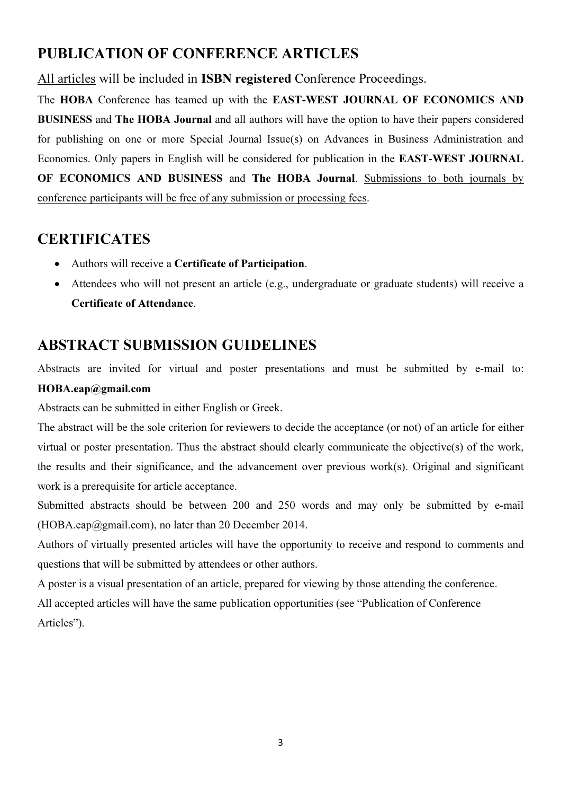## PUBLICATION OF CONFERENCE ARTICLES

All articles will be included in **ISBN registered** Conference Proceedings.

The HOBA Conference has teamed up with the EAST-WEST JOURNAL OF ECONOMICS AND BUSINESS and The HOBA Journal and all authors will have the option to have their papers considered for publishing on one or more Special Journal Issue(s) on Advances in Business Administration and Economics. Only papers in English will be considered for publication in the EAST-WEST JOURNAL OF ECONOMICS AND BUSINESS and The HOBA Journal. Submissions to both journals by conference participants will be free of any submission or processing fees.

## **CERTIFICATES**

- Authors will receive a Certificate of Participation.
- Attendees who will not present an article (e.g., undergraduate or graduate students) will receive a Certificate of Attendance.

# ABSTRACT SUBMISSION GUIDELINES

Abstracts are invited for virtual and poster presentations and must be submitted by e-mail to: HOBA.eap@gmail.com

Abstracts can be submitted in either English or Greek.

The abstract will be the sole criterion for reviewers to decide the acceptance (or not) of an article for either virtual or poster presentation. Thus the abstract should clearly communicate the objective(s) of the work, the results and their significance, and the advancement over previous work(s). Original and significant work is a prerequisite for article acceptance.

Submitted abstracts should be between 200 and 250 words and may only be submitted by e-mail  $(HOBA.$ eap $@g$ mail.com), no later than 20 December 2014.

Authors of virtually presented articles will have the opportunity to receive and respond to comments and questions that will be submitted by attendees or other authors.

A poster is a visual presentation of an article, prepared for viewing by those attending the conference.

All accepted articles will have the same publication opportunities (see "Publication of Conference Articles").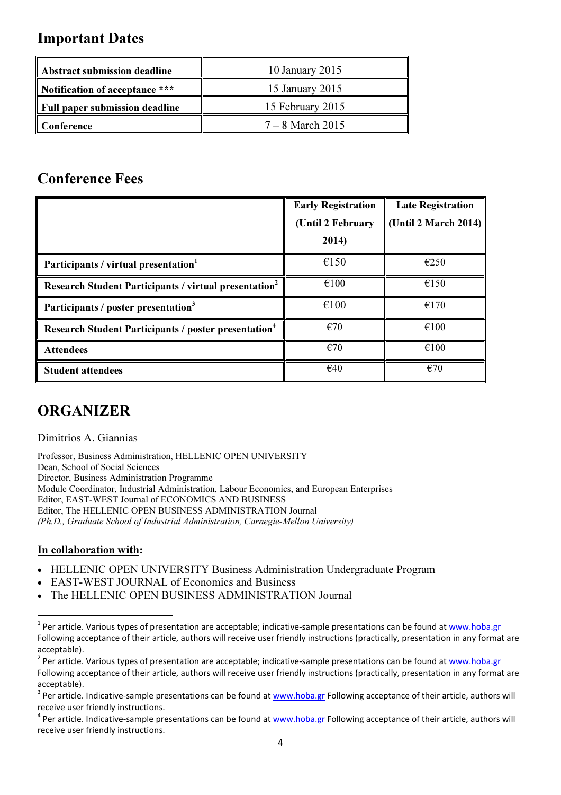#### Important Dates

| Abstract submission deadline   | 10 January 2015    |  |  |
|--------------------------------|--------------------|--|--|
| Notification of acceptance *** | 15 January 2015    |  |  |
| Full paper submission deadline | 15 February 2015   |  |  |
| ll Conference                  | $7 - 8$ March 2015 |  |  |

#### Conference Fees

|                                                                          | <b>Early Registration</b><br>(Until 2 February | <b>Late Registration</b><br>(Until 2 March 2014) |
|--------------------------------------------------------------------------|------------------------------------------------|--------------------------------------------------|
|                                                                          | 2014)                                          |                                                  |
| Participants / virtual presentation <sup>1</sup>                         | €150                                           | €250                                             |
| <b>Research Student Participants / virtual presentation</b> <sup>2</sup> | €100                                           | €150                                             |
| Participants / poster presentation <sup>3</sup>                          | €100                                           | €170                                             |
| <b>Research Student Participants / poster presentation<sup>4</sup></b>   | $\epsilon$ 70                                  | $\epsilon$ 100                                   |
| <b>Attendees</b>                                                         | €70                                            | €100                                             |
| <b>Student attendees</b>                                                 | €40                                            | €70                                              |

## **ORGANIZER**

Dimitrios A. Giannias

Professor, Business Administration, HELLENIC OPEN UNIVERSITY Dean, School of Social Sciences Director, Business Administration Programme Module Coordinator, Industrial Administration, Labour Economics, and European Enterprises Editor, EAST-WEST Journal of ECONOMICS AND BUSINESS Editor, The HELLENIC OPEN BUSINESS ADMINISTRATION Journal (Ph.D., Graduate School of Industrial Administration, Carnegie-Mellon University)

#### In collaboration with:

 $\overline{a}$ 

- HELLENIC OPEN UNIVERSITY Business Administration Undergraduate Program
- EAST-WEST JOURNAL of Economics and Business
- The HELLENIC OPEN BUSINESS ADMINISTRATION Journal

<sup>&</sup>lt;sup>1</sup> Per article. Various types of presentation are acceptable; indicative-sample presentations can be found at www.hoba.gr Following acceptance of their article, authors will receive user friendly instructions (practically, presentation in any format are acceptable).

<sup>&</sup>lt;sup>2</sup> Per article. Various types of presentation are acceptable; indicative-sample presentations can be found at www.hoba.gr Following acceptance of their article, authors will receive user friendly instructions (practically, presentation in any format are acceptable).

<sup>&</sup>lt;sup>3</sup> Per article. Indicative-sample presentations can be found at www.hoba.gr Following acceptance of their article, authors will receive user friendly instructions.

<sup>&</sup>lt;sup>4</sup> Per article. Indicative-sample presentations can be found at www.hoba.gr Following acceptance of their article, authors will receive user friendly instructions.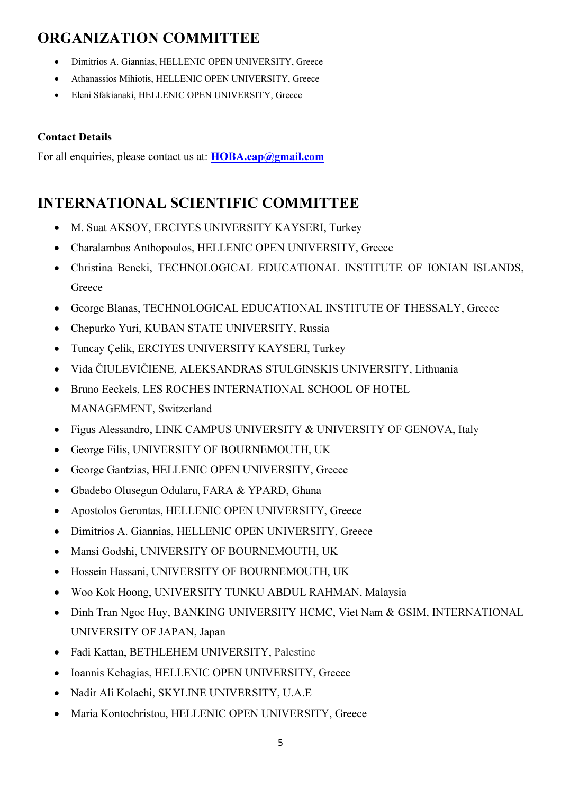# ORGANIZATION COMMITTEE

- Dimitrios A. Giannias, HELLENIC OPEN UNIVERSITY, Greece
- Athanassios Mihiotis, HELLENIC OPEN UNIVERSITY, Greece
- Eleni Sfakianaki, HELLENIC OPEN UNIVERSITY, Greece

#### Contact Details

For all enquiries, please contact us at: **HOBA.eap@gmail.com** 

# INTERNATIONAL SCIENTIFIC COMMITTEE

- M. Suat AKSOY, ERCIYES UNIVERSITY KAYSERI, Turkey
- Charalambos Anthopoulos, HELLENIC OPEN UNIVERSITY, Greece
- Christina Beneki, TECHNOLOGICAL EDUCATIONAL INSTITUTE OF IONIAN ISLANDS, Greece
- George Blanas, TECHNOLOGICAL EDUCATIONAL INSTITUTE OF THESSALY, Greece
- Chepurko Yuri, KUBAN STATE UNIVERSITY, Russia
- Tuncay Çelik, ERCIYES UNIVERSITY KAYSERI, Turkey
- Vida ČIULEVIČIENE, ALEKSANDRAS STULGINSKIS UNIVERSITY, Lithuania
- Bruno Eeckels, LES ROCHES INTERNATIONAL SCHOOL OF HOTEL MANAGEMENT, Switzerland
- Figus Alessandro, LINK CAMPUS UNIVERSITY & UNIVERSITY OF GENOVA, Italy
- George Filis, UNIVERSITY OF BOURNEMOUTH, UK
- George Gantzias, HELLENIC OPEN UNIVERSITY, Greece
- Gbadebo Olusegun Odularu, FARA & YPARD, Ghana
- Apostolos Gerontas, HELLENIC OPEN UNIVERSITY, Greece
- Dimitrios A. Giannias, HELLENIC OPEN UNIVERSITY, Greece
- Mansi Godshi, UNIVERSITY OF BOURNEMOUTH, UK
- Hossein Hassani, UNIVERSITY OF BOURNEMOUTH, UK
- Woo Kok Hoong, UNIVERSITY TUNKU ABDUL RAHMAN, Malaysia
- Dinh Tran Ngoc Huy, BANKING UNIVERSITY HCMC, Viet Nam & GSIM, INTERNATIONAL UNIVERSITY OF JAPAN, Japan
- Fadi Kattan, BETHLEHEM UNIVERSITY, Palestine
- Ioannis Kehagias, HELLENIC OPEN UNIVERSITY, Greece
- Nadir Ali Kolachi, SKYLINE UNIVERSITY, U.A.E
- Maria Kontochristou, HELLENIC OPEN UNIVERSITY, Greece